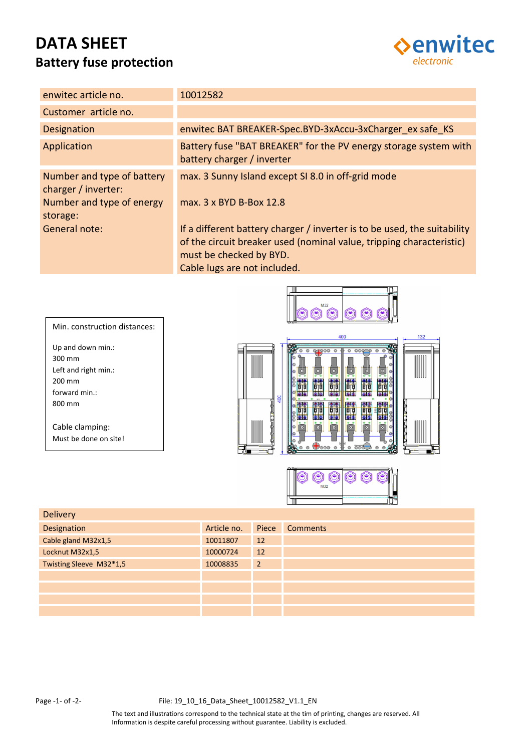# **DATA SHEET Battery fuse protection**



| enwited article no.                                                                        | 10012582                                                                                                                                                                                                    |
|--------------------------------------------------------------------------------------------|-------------------------------------------------------------------------------------------------------------------------------------------------------------------------------------------------------------|
| Customer article no.                                                                       |                                                                                                                                                                                                             |
| <b>Designation</b>                                                                         | enwitec BAT BREAKER-Spec.BYD-3xAccu-3xCharger ex safe KS                                                                                                                                                    |
| Application                                                                                | Battery fuse "BAT BREAKER" for the PV energy storage system with<br>battery charger / inverter                                                                                                              |
| Number and type of battery<br>charger / inverter:<br>Number and type of energy<br>storage: | max. 3 Sunny Island except SI 8.0 in off-grid mode<br>max. 3 x BYD B-Box 12.8                                                                                                                               |
| General note:                                                                              | If a different battery charger / inverter is to be used, the suitability<br>of the circuit breaker used (nominal value, tripping characteristic)<br>must be checked by BYD.<br>Cable lugs are not included. |





| <b>Delivery</b>         |             |                |                 |
|-------------------------|-------------|----------------|-----------------|
| Designation             | Article no. | Piece          | <b>Comments</b> |
| Cable gland M32x1,5     | 10011807    | 12             |                 |
| Locknut M32x1,5         | 10000724    | 12             |                 |
| Twisting Sleeve M32*1,5 | 10008835    | $\overline{2}$ |                 |
|                         |             |                |                 |
|                         |             |                |                 |
|                         |             |                |                 |
|                         |             |                |                 |

300 mm

200 mm

800 mm